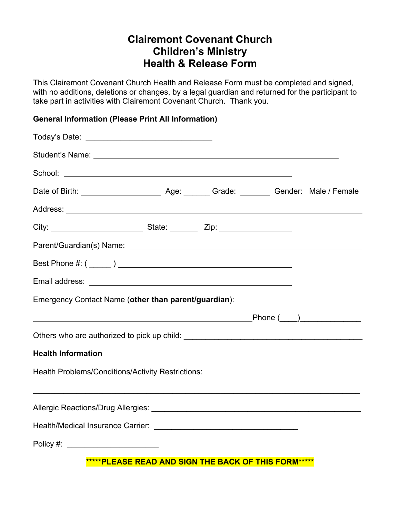## **Clairemont Covenant Church Children's Ministry Health & Release Form**

This Clairemont Covenant Church Health and Release Form must be completed and signed, with no additions, deletions or changes, by a legal guardian and returned for the participant to take part in activities with Clairemont Covenant Church. Thank you.

## **General Information (Please Print All Information)**

| Emergency Contact Name (other than parent/guardian): |
|------------------------------------------------------|
|                                                      |
|                                                      |
| <b>Health Information</b>                            |
| Health Problems/Conditions/Activity Restrictions:    |
|                                                      |
|                                                      |
| Policy #: _________________________                  |
| *****PLEASE READ AND SIGN THE BACK OF THIS FORM***** |